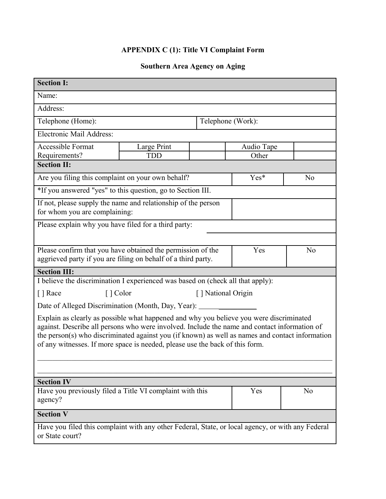## **APPENDIX C (1): Title VI Complaint Form**

## **Southern Area Agency on Aging**

| <b>Section I:</b>                                                                                                                                                                       |             |                   |            |    |  |
|-----------------------------------------------------------------------------------------------------------------------------------------------------------------------------------------|-------------|-------------------|------------|----|--|
| Name:                                                                                                                                                                                   |             |                   |            |    |  |
| Address:                                                                                                                                                                                |             |                   |            |    |  |
| Telephone (Home):                                                                                                                                                                       |             | Telephone (Work): |            |    |  |
| Electronic Mail Address:                                                                                                                                                                |             |                   |            |    |  |
| <b>Accessible Format</b>                                                                                                                                                                | Large Print |                   | Audio Tape |    |  |
| Requirements?<br><b>Section II:</b>                                                                                                                                                     | <b>TDD</b>  |                   | Other      |    |  |
| Yes*<br>N <sub>o</sub>                                                                                                                                                                  |             |                   |            |    |  |
| Are you filing this complaint on your own behalf?                                                                                                                                       |             |                   |            |    |  |
| *If you answered "yes" to this question, go to Section III.                                                                                                                             |             |                   |            |    |  |
| If not, please supply the name and relationship of the person<br>for whom you are complaining:                                                                                          |             |                   |            |    |  |
| Please explain why you have filed for a third party:                                                                                                                                    |             |                   |            |    |  |
|                                                                                                                                                                                         |             |                   |            |    |  |
| Please confirm that you have obtained the permission of the                                                                                                                             |             |                   | Yes        | No |  |
| aggrieved party if you are filing on behalf of a third party.                                                                                                                           |             |                   |            |    |  |
| <b>Section III:</b>                                                                                                                                                                     |             |                   |            |    |  |
| I believe the discrimination I experienced was based on (check all that apply):                                                                                                         |             |                   |            |    |  |
| [ ] Color<br>[] National Origin<br>[ ] Race                                                                                                                                             |             |                   |            |    |  |
| Date of Alleged Discrimination (Month, Day, Year): _____                                                                                                                                |             |                   |            |    |  |
| Explain as clearly as possible what happened and why you believe you were discriminated<br>against. Describe all persons who were involved. Include the name and contact information of |             |                   |            |    |  |
| the person(s) who discriminated against you (if known) as well as names and contact information                                                                                         |             |                   |            |    |  |
| of any witnesses. If more space is needed, please use the back of this form.                                                                                                            |             |                   |            |    |  |
|                                                                                                                                                                                         |             |                   |            |    |  |
|                                                                                                                                                                                         |             |                   |            |    |  |
| <b>Section IV</b>                                                                                                                                                                       |             |                   |            |    |  |
| Have you previously filed a Title VI complaint with this<br>agency?                                                                                                                     |             |                   | Yes        | No |  |
| <b>Section V</b>                                                                                                                                                                        |             |                   |            |    |  |
| Have you filed this complaint with any other Federal, State, or local agency, or with any Federal<br>or State court?                                                                    |             |                   |            |    |  |